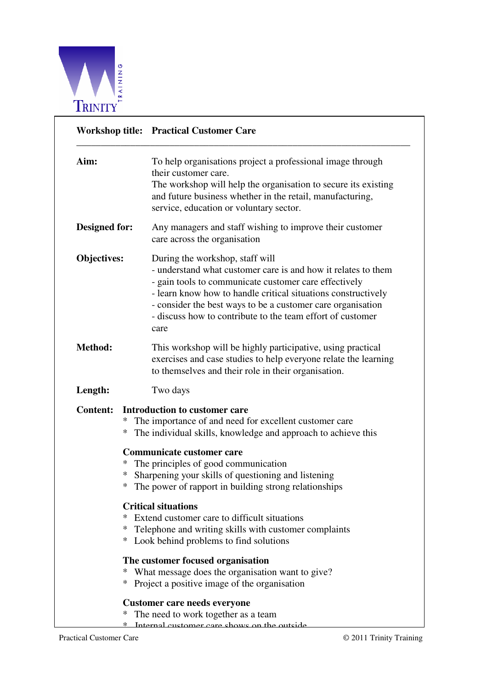

|                    | <b>Workshop title: Practical Customer Care</b>                                                                                                                                                                                                                                                                                                                  |
|--------------------|-----------------------------------------------------------------------------------------------------------------------------------------------------------------------------------------------------------------------------------------------------------------------------------------------------------------------------------------------------------------|
| Aim:               | To help organisations project a professional image through<br>their customer care.<br>The workshop will help the organisation to secure its existing<br>and future business whether in the retail, manufacturing,<br>service, education or voluntary sector.                                                                                                    |
| Designed for:      | Any managers and staff wishing to improve their customer<br>care across the organisation                                                                                                                                                                                                                                                                        |
| <b>Objectives:</b> | During the workshop, staff will<br>- understand what customer care is and how it relates to them<br>- gain tools to communicate customer care effectively<br>- learn know how to handle critical situations constructively<br>- consider the best ways to be a customer care organisation<br>- discuss how to contribute to the team effort of customer<br>care |
| Method:            | This workshop will be highly participative, using practical<br>exercises and case studies to help everyone relate the learning<br>to themselves and their role in their organisation.                                                                                                                                                                           |
| Length:            | Two days                                                                                                                                                                                                                                                                                                                                                        |
| <b>Content:</b>    | <b>Introduction to customer care</b><br>∗<br>The importance of and need for excellent customer care<br>* The individual skills, knowledge and approach to achieve this                                                                                                                                                                                          |
|                    | <b>Communicate customer care</b><br>$\ast$<br>The principles of good communication<br>∗<br>Sharpening your skills of questioning and listening<br>The power of rapport in building strong relationships<br>∗                                                                                                                                                    |
|                    | <b>Critical situations</b><br>*<br>Extend customer care to difficult situations<br>* Telephone and writing skills with customer complaints<br>Look behind problems to find solutions<br>$*$                                                                                                                                                                     |
|                    | The customer focused organisation<br>What message does the organisation want to give?<br>*<br>* Project a positive image of the organisation                                                                                                                                                                                                                    |
|                    | <b>Customer care needs everyone</b><br>The need to work together as a team<br>∗<br>$*$ Internal customer care shows on the outside                                                                                                                                                                                                                              |